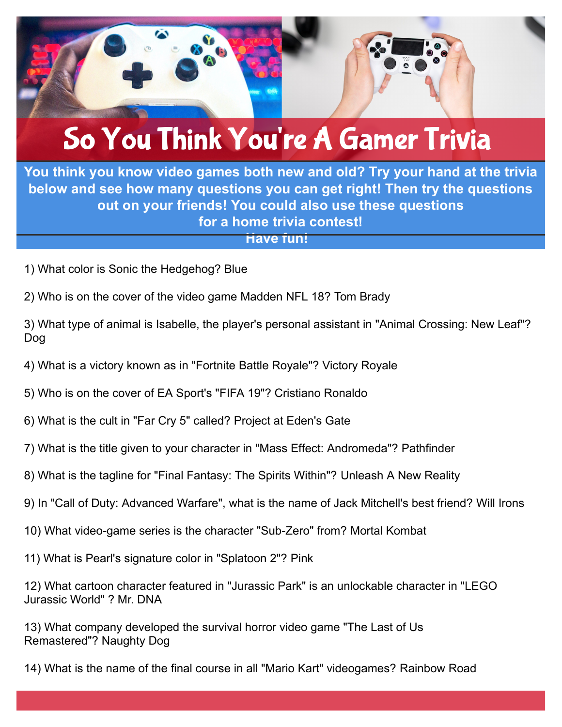

## So You Think You're A Gamer Trivia

**You think you know video games both new and old? Try your hand at the trivia below and see how many questions you can get right! Then try the questions out on your friends! You could also use these questions for a home trivia contest!**

**Have fun!**

- 1) What color is Sonic the Hedgehog? Blue
- 2) Who is on the cover of the video game Madden NFL 18? Tom Brady

3) What type of animal is Isabelle, the player's personal assistant in "Animal Crossing: New Leaf"? Dog

- 4) What is a victory known as in "Fortnite Battle Royale"? Victory Royale
- 5) Who is on the cover of EA Sport's "FIFA 19"? Cristiano Ronaldo
- 6) What is the cult in "Far Cry 5" called? Project at Eden's Gate
- 7) What is the title given to your character in "Mass Effect: Andromeda"? Pathfinder
- 8) What is the tagline for "Final Fantasy: The Spirits Within"? Unleash A New Reality
- 9) In "Call of Duty: Advanced Warfare", what is the name of Jack Mitchell's best friend? Will Irons
- 10) What video-game series is the character "Sub-Zero" from? Mortal Kombat
- 11) What is Pearl's signature color in "Splatoon 2"? Pink

12) What cartoon character featured in "Jurassic Park" is an unlockable character in "LEGO Jurassic World" ? Mr. DNA

13) What company developed the survival horror video game "The Last of Us Remastered"? Naughty Dog

14) What is the name of the final course in all "Mario Kart" videogames? Rainbow Road